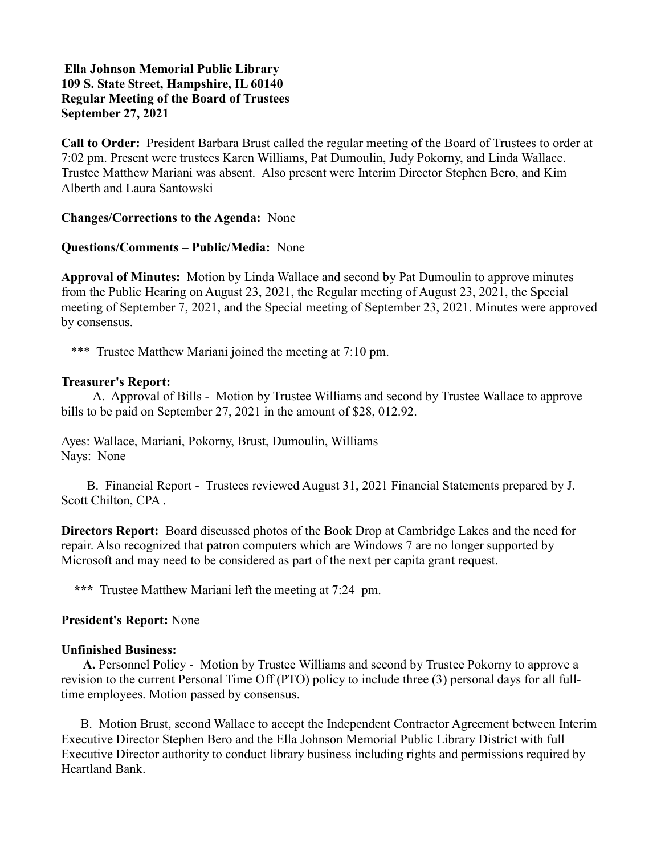# Ella Johnson Memorial Public Library 109 S. State Street, Hampshire, IL 60140 Regular Meeting of the Board of Trustees September 27, 2021

Call to Order: President Barbara Brust called the regular meeting of the Board of Trustees to order at 7:02 pm. Present were trustees Karen Williams, Pat Dumoulin, Judy Pokorny, and Linda Wallace. Trustee Matthew Mariani was absent. Also present were Interim Director Stephen Bero, and Kim Alberth and Laura Santowski

Changes/Corrections to the Agenda: None

## Questions/Comments – Public/Media: None

Approval of Minutes: Motion by Linda Wallace and second by Pat Dumoulin to approve minutes from the Public Hearing on August 23, 2021, the Regular meeting of August 23, 2021, the Special meeting of September 7, 2021, and the Special meeting of September 23, 2021. Minutes were approved by consensus.

\*\*\* Trustee Matthew Mariani joined the meeting at 7:10 pm.

## Treasurer's Report:

 A. Approval of Bills - Motion by Trustee Williams and second by Trustee Wallace to approve bills to be paid on September 27, 2021 in the amount of \$28, 012.92.

Ayes: Wallace, Mariani, Pokorny, Brust, Dumoulin, Williams Nays: None

 B. Financial Report - Trustees reviewed August 31, 2021 Financial Statements prepared by J. Scott Chilton, CPA .

Directors Report: Board discussed photos of the Book Drop at Cambridge Lakes and the need for repair. Also recognized that patron computers which are Windows 7 are no longer supported by Microsoft and may need to be considered as part of the next per capita grant request.

\*\*\* Trustee Matthew Mariani left the meeting at 7:24 pm.

### President's Report: None

### Unfinished Business:

 A. Personnel Policy - Motion by Trustee Williams and second by Trustee Pokorny to approve a revision to the current Personal Time Off (PTO) policy to include three (3) personal days for all fulltime employees. Motion passed by consensus.

 B. Motion Brust, second Wallace to accept the Independent Contractor Agreement between Interim Executive Director Stephen Bero and the Ella Johnson Memorial Public Library District with full Executive Director authority to conduct library business including rights and permissions required by Heartland Bank.